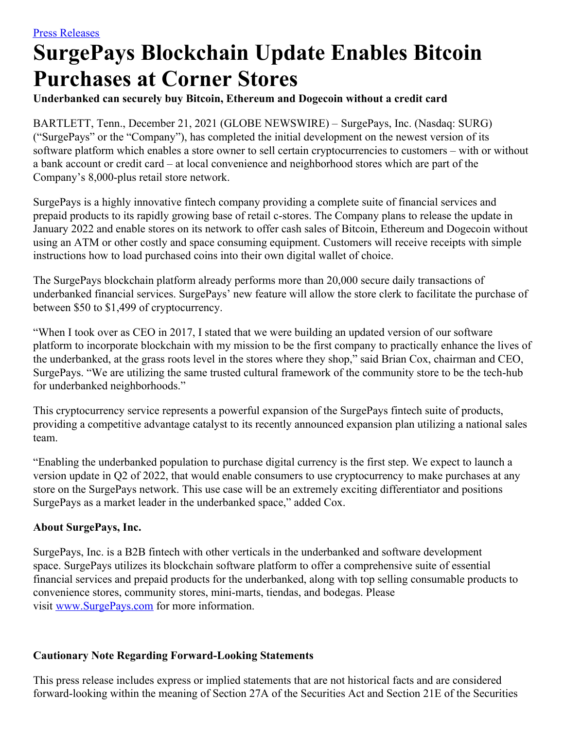## **SurgePays Blockchain Update Enables Bitcoin Purchases at Corner Stores**

## **Underbanked can securely buy Bitcoin, Ethereum and Dogecoin without a credit card**

BARTLETT, Tenn., December 21, 2021 (GLOBE NEWSWIRE) – SurgePays, Inc. (Nasdaq: SURG) ("SurgePays" or the "Company"), has completed the initial development on the newest version of its software platform which enables a store owner to sell certain cryptocurrencies to customers – with or without a bank account or credit card – at local convenience and neighborhood stores which are part of the Company's 8,000-plus retail store network.

SurgePays is a highly innovative fintech company providing a complete suite of financial services and prepaid products to its rapidly growing base of retail c-stores. The Company plans to release the update in January 2022 and enable stores on its network to offer cash sales of Bitcoin, Ethereum and Dogecoin without using an ATM or other costly and space consuming equipment. Customers will receive receipts with simple instructions how to load purchased coins into their own digital wallet of choice.

The SurgePays blockchain platform already performs more than 20,000 secure daily transactions of underbanked financial services. SurgePays' new feature will allow the store clerk to facilitate the purchase of between \$50 to \$1,499 of cryptocurrency.

"When I took over as CEO in 2017, I stated that we were building an updated version of our software platform to incorporate blockchain with my mission to be the first company to practically enhance the lives of the underbanked, at the grass roots level in the stores where they shop," said Brian Cox, chairman and CEO, SurgePays. "We are utilizing the same trusted cultural framework of the community store to be the tech-hub for underbanked neighborhoods."

This cryptocurrency service represents a powerful expansion of the SurgePays fintech suite of products, providing a competitive advantage catalyst to its recently announced expansion plan utilizing a national sales team.

"Enabling the underbanked population to purchase digital currency is the first step. We expect to launch a version update in Q2 of 2022, that would enable consumers to use cryptocurrency to make purchases at any store on the SurgePays network. This use case will be an extremely exciting differentiator and positions SurgePays as a market leader in the underbanked space," added Cox.

## **About SurgePays, Inc.**

SurgePays, Inc. is a B2B fintech with other verticals in the underbanked and software development space. SurgePays utilizes its blockchain software platform to offer a comprehensive suite of essential financial services and prepaid products for the underbanked, along with top selling consumable products to convenience stores, community stores, mini-marts, tiendas, and bodegas. Please visit [www.SurgePays.com](https://www.globenewswire.com/Tracker?data=bHcM5Ayr04EU5Brp9yEpN5T3dGBD4mTYh-LdmfBejuMmrr4BxNiA2deDH5wWWsNyIABPNJgQSooVtqSTEIQ2Z0KQEdYFk8U52yC5aU6TDTu0VmMpmRXgyNO5ZPW9mAhK3sJdXzpQy7s5TttQLeAgZ79vtKsRxm-oYuy0K2M6GobTzd-XTEVQ5D1cKDd-tOeuDr-GNaMM5sHou7i1LAp9mAdmP-pZRQYcuwhwAgwSmYsf8vorNqdCQnbrL77TPHGFShEk34Tm50UNZC3zt5_Q0rkKQRo8Pnrh2AayqqmA4vwqXCBnv56XT314wQeaaw4DIIwW7rXiZYGFk00VJmhJ-R6L2KtZaw0lkEsqwx1D2HxRA5-zjeaIglLoIdAtJG-bu_ENykJguvhZOS-YpvZkIZDggW-lHHfCLEKXdrT09zE7BvVs9e9gwHvfw7D6A12NAsnHgeTIpVU_ndWsCbBFW9iNYP8kXBUcdYrkTb8tvXxTUrlVGwL-BM2jh7gQ7LHwOXnbKtLddJD42QkVDhs0EuPa5hh4VG-idQ5fA1H7DVHqEh7Io91xfmiCyZsaPJhB) for more information.

## **Cautionary Note Regarding Forward-Looking Statements**

This press release includes express or implied statements that are not historical facts and are considered forward-looking within the meaning of Section 27A of the Securities Act and Section 21E of the Securities